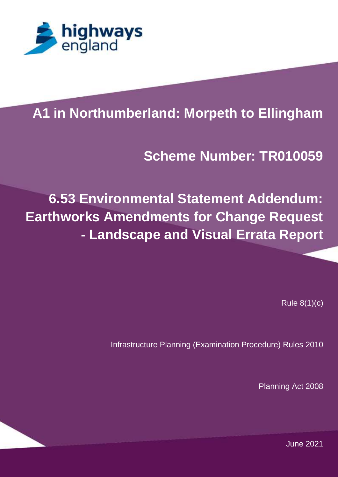

## **PROJECT TITLE Scheme Number: TR010059**

**6.53 Environmental Statement Addendum: Earthworks Amendments for Change Request - Landscape and Visual Errata Report** 

Rule 8(1)(c)

Infrastructure Planning (Examination Procedure) Rules 2010

Planning Act 2008

JUMPS OVER THE LAZY DOG. THE QUICK BROWN FOX JUMPS OVER THE LAZY DOG. THE June 2021QUICK BROWN FOX JUMPS OVER THE LAZY DOG. THE QUICK BROWN FOX JUMPS OVER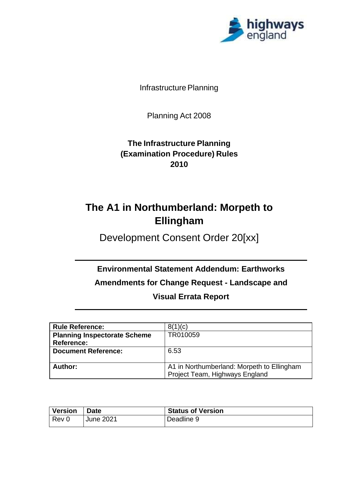

Infrastructure Planning

Planning Act 2008

**The Infrastructure Planning (Examination Procedure) Rules 2010**

# **The A1 in Northumberland: Morpeth to Ellingham**

Development Consent Order 20[xx]

**Environmental Statement Addendum: Earthworks Amendments for Change Request - Landscape and** 

**Visual Errata Report**

| <b>Rule Reference:</b>              | 8(1)(c)                                    |
|-------------------------------------|--------------------------------------------|
| <b>Planning Inspectorate Scheme</b> | TR010059                                   |
| Reference:                          |                                            |
| <b>Document Reference:</b>          | 6.53                                       |
|                                     |                                            |
| Author:                             | A1 in Northumberland: Morpeth to Ellingham |
|                                     | Project Team, Highways England             |

| <b>Version</b> | <b>Date</b>      | <b>Status of Version</b> |  |
|----------------|------------------|--------------------------|--|
| $ $ Rev 0      | <b>June 2021</b> | Deadline 9               |  |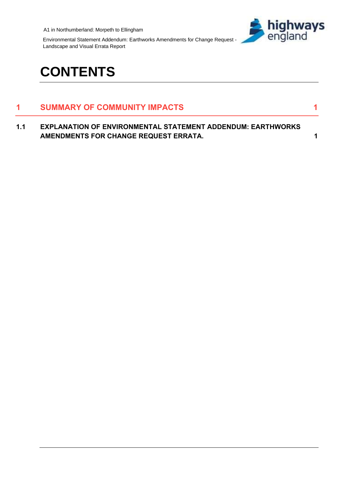

Environmental Statement Addendum: Earthworks Amendments for Change Request - Landscape and Visual Errata Report

# **CONTENTS**

## **1 [SUMMARY OF COMMUNITY](#page-3-0) IMPACTS 1**

**1.1 [EXPLANATION OF ENVIRONMENTAL STATEMENT ADDENDUM: EARTHWORKS](#page-3-1)  [AMENDMENTS FOR CHANGE REQUEST ERRATA.](#page-3-1) 1**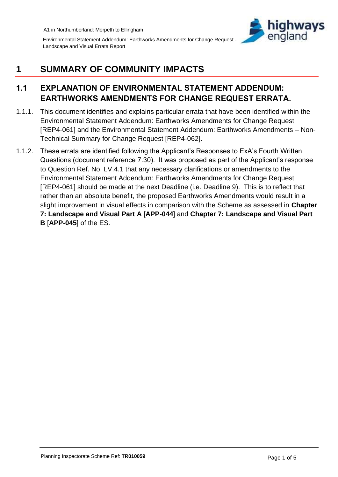

Environmental Statement Addendum: Earthworks Amendments for Change Request - Landscape and Visual Errata Report

# <span id="page-3-0"></span>**1 SUMMARY OF COMMUNITY IMPACTS**

### <span id="page-3-1"></span>**1.1 EXPLANATION OF ENVIRONMENTAL STATEMENT ADDENDUM: EARTHWORKS AMENDMENTS FOR CHANGE REQUEST ERRATA.**

- 1.1.1. This document identifies and explains particular errata that have been identified within the Environmental Statement Addendum: Earthworks Amendments for Change Request [REP4-061] and the Environmental Statement Addendum: Earthworks Amendments – Non-Technical Summary for Change Request [REP4-062].
- 1.1.2. These errata are identified following the Applicant's Responses to ExA's Fourth Written Questions (document reference 7.30). It was proposed as part of the Applicant's response to Question Ref. No. LV.4.1 that any necessary clarifications or amendments to the Environmental Statement Addendum: Earthworks Amendments for Change Request [REP4-061] should be made at the next Deadline (i.e. Deadline 9). This is to reflect that rather than an absolute benefit, the proposed Earthworks Amendments would result in a slight improvement in visual effects in comparison with the Scheme as assessed in **Chapter 7: Landscape and Visual Part A** [**APP-044**] and **Chapter 7: Landscape and Visual Part B** [**APP-045**] of the ES.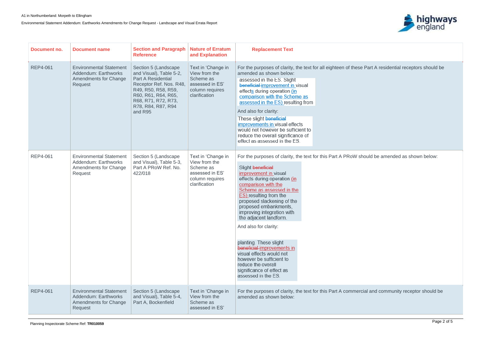Environmental Statement Addendum: Earthworks Amendments for Change Request - Landscape and Visual Errata Report



e Part A residential receptors should be

should be amended as shown below:

rcial and community receptor should be

| Document no.    | <b>Document name</b>                                                                                     | <b>Section and Paragraph</b><br><b>Reference</b>                                                                                                                                                              | <b>Nature of Erratum</b><br>and Explanation                                                             | <b>Replacement Text</b>                                                                                                                                                                                                                                                                                                                                                                                                                                                                                                                                           |
|-----------------|----------------------------------------------------------------------------------------------------------|---------------------------------------------------------------------------------------------------------------------------------------------------------------------------------------------------------------|---------------------------------------------------------------------------------------------------------|-------------------------------------------------------------------------------------------------------------------------------------------------------------------------------------------------------------------------------------------------------------------------------------------------------------------------------------------------------------------------------------------------------------------------------------------------------------------------------------------------------------------------------------------------------------------|
| <b>REP4-061</b> | <b>Environmental Statement</b><br><b>Addendum: Earthworks</b><br><b>Amendments for Change</b><br>Request | Section 5 (Landscape<br>and Visual), Table 5-2,<br><b>Part A Residential</b><br>Receptor Ref. Nos. R48,<br>R49, R50, R58, R59,<br>R60, R61, R64, R65,<br>R68, R71, R72, R73,<br>R78, R84, R87, R94<br>and R95 | Text in 'Change in<br>View from the<br>Scheme as<br>assessed in ES'<br>column requires<br>clarification | For the purposes of clarity, the text for all eighteen of these<br>amended as shown below:<br>assessed in the ES. Slight<br>beneficial-improvement in visual<br>effects during operation (in<br>comparison with the Scheme as<br>assessed in the ES) resulting from<br>And also for clarity:<br>These slight beneficial<br>improvements in visual effects<br>would not however be sufficient to<br>reduce the overall significance of<br>effect as assessed in the ES.                                                                                            |
| <b>REP4-061</b> | <b>Environmental Statement</b><br>Addendum: Earthworks<br><b>Amendments for Change</b><br>Request        | Section 5 (Landscape<br>and Visual), Table 5-3,<br>Part A PRoW Ref. No.<br>422/018                                                                                                                            | Text in 'Change in<br>View from the<br>Scheme as<br>assessed in ES'<br>column requires<br>clarification | For the purposes of clarity, the text for this Part A PRoW s<br>Slight beneficial<br>improvement in visual<br>effects during operation (in<br>comparison with the<br>Scheme as assessed in the<br><b>ES)</b> resulting from the<br>proposed slackening of the<br>proposed embankments,<br>improving integration with<br>the adjacent landform.<br>And also for clarity:<br>planting. These slight<br>beneficial-improvements in<br>visual effects would not<br>however be sufficient to<br>reduce the overall<br>significance of effect as<br>assessed in the ES. |
| <b>REP4-061</b> | <b>Environmental Statement</b><br><b>Addendum: Earthworks</b><br><b>Amendments for Change</b><br>Request | Section 5 (Landscape<br>and Visual), Table 5-4,<br>Part A, Bockenfield                                                                                                                                        | Text in 'Change in<br>View from the<br>Scheme as<br>assessed in ES'                                     | For the purposes of clarity, the text for this Part A commer<br>amended as shown below:                                                                                                                                                                                                                                                                                                                                                                                                                                                                           |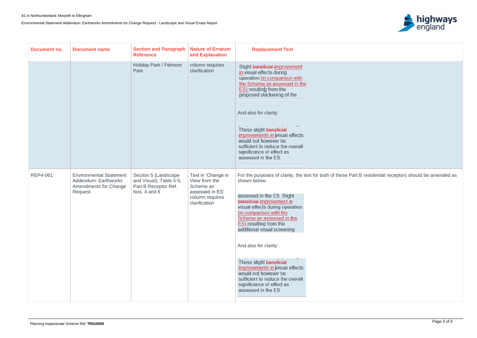Environmental Statement Addendum: Earthworks Amendments for Change Request - Landscape and Visual Errata Report



t B residential receptors should be amended as

| Document no.    | <b>Document name</b>                                                                              | <b>Section and Paragraph</b><br><b>Reference</b>                                        | <b>Nature of Erratum</b><br>and Explanation                                                             | <b>Replacement Text</b>                                                                                                                                                                                                                                                                                                                                                                                                                                                                           |  |
|-----------------|---------------------------------------------------------------------------------------------------|-----------------------------------------------------------------------------------------|---------------------------------------------------------------------------------------------------------|---------------------------------------------------------------------------------------------------------------------------------------------------------------------------------------------------------------------------------------------------------------------------------------------------------------------------------------------------------------------------------------------------------------------------------------------------------------------------------------------------|--|
|                 |                                                                                                   | Holiday Park / Felmoor<br>Park                                                          | column requires<br>clarification                                                                        | Slight beneficial-improvement<br>in visual effects during<br>operation (in comparison with<br>the Scheme as assessed in the<br><b>ES)</b> resulting from the<br>proposed slackening of the<br>And also for clarity:<br>These slight beneficial<br>improvements in visual effects<br>would not however be<br>sufficient to reduce the overall<br>significance of effect as<br>assessed in the ES.                                                                                                  |  |
| <b>REP4-061</b> | <b>Environmental Statement</b><br>Addendum: Earthworks<br><b>Amendments for Change</b><br>Request | Section 5 (Landscape<br>and Visual), Table 5-5,<br>Part B Receptor Ref.<br>Nos. 4 and 6 | Text in 'Change in<br>View from the<br>Scheme as<br>assessed in ES'<br>column requires<br>clarification | For the purposes of clarity, the text for both of these Part<br>shown below:<br>assessed in the ES. Slight<br>beneficial-improvement in<br>visual effects during operation<br>(in comparison with the<br>Scheme as assessed in the<br>ES) resulting from the<br>additional visual screening<br>And also for clarity:<br>These slight beneficial<br>improvements in visual effects<br>would not however be<br>sufficient to reduce the overall<br>significance of effect as<br>assessed in the ES. |  |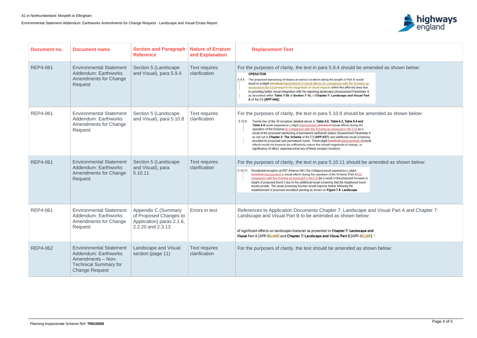Environmental Statement Addendum: Earthworks Amendments for Change Request - Landscape and Visual Errata Report



#### e amended as shown below:

blu ieme as<br>ea due neter 4, al Part

### be amended as shown below:

**Ind** he sa ameter 4 reening in visual if.

I be amended as shown below:

ape and Visual Part A and Chapter 7:

cape and

 $-04589$ ]. 1

s shown below:

| Document no.    | <b>Document name</b>                                                                                                                 | <b>Section and Paragraph</b><br><b>Reference</b>                                                | <b>Nature of Erratum</b><br>and Explanation | <b>Replacement Text</b>                                                                                                                                                                                                                                                                                                                                                                                                                                                                                                                                                                                                                                                                                                                                                                                     |
|-----------------|--------------------------------------------------------------------------------------------------------------------------------------|-------------------------------------------------------------------------------------------------|---------------------------------------------|-------------------------------------------------------------------------------------------------------------------------------------------------------------------------------------------------------------------------------------------------------------------------------------------------------------------------------------------------------------------------------------------------------------------------------------------------------------------------------------------------------------------------------------------------------------------------------------------------------------------------------------------------------------------------------------------------------------------------------------------------------------------------------------------------------------|
| <b>REP4-061</b> | <b>Environmental Statement</b><br>Addendum: Earthworks<br><b>Amendments for Change</b><br>Request                                    | Section 5 (Landscape<br>and Visual), para 5.9.4                                                 | <b>Text requires</b><br>clarification       | For the purposes of clarity, the text in para 5.9.4 should be am<br><b>OPERATION</b><br>5.9.4. The proposed slackening of slopes at various locations along the length of Part A would<br>result in a slight beneficial improvement in visual effects (in comparison with the Scheme as<br>assessed in the ES)change to the magnitude of visual impacts within the affected area due<br>to providing better visual integration with the adjoining landscape (Assessment Parameter 4,<br>as described within Table 7-25 of Section 7-10. of Chapter 7: Landscape and Visual Part<br>A of the ES [APP-044]).                                                                                                                                                                                                  |
| <b>REP4-061</b> | <b>Environmental Statement</b><br>Addendum: Earthworks<br><b>Amendments for Change</b><br>Request                                    | Section 5 (Landscape<br>and Visual), para 5.10.8                                                | <b>Text requires</b><br>clarification       | For the purposes of clarity, the text in para 5.10.8 should be are<br>5.10.8<br>Twenty-two of the 38 receptors detailed above in Table 5-2, Table 5-3, Table 5-4 and<br>Table 5-5 would experience a slight improvement inbeneficial visual effects during the<br>operation of the Scheme (in comparison with the Scheme as assessed in the ES) as a<br>result of the proposed slackening of permanent earthwork slopes (Assessment Parameter 4<br>as set out in Chapter 2: The Scheme of the ES [APP-037]) and additional visual screening<br>provided by proposed new permanent bunds. These slight beneficial improvements in visual<br>effects would not however be sufficient to reduce the overall magnitude of change, or<br>significance of effect, experienced at any of these receptor locations. |
| <b>REP4-061</b> | <b>Environmental Statement</b><br>Addendum: Earthworks<br><b>Amendments for Change</b><br>Request                                    | Section 5 (Landscape<br>and Visual), para<br>5.10.11                                            | <b>Text requires</b><br>clarification       | For the purposes of clarity, the text in para 5.10.11 should be a<br>5.10.11. Residential receptors at R87 (Hebron Hill (The Cottage)) would experience a slight<br>beneficial improvement in visual effects during the operation of the Scheme (Part A) (in<br>comparison with the Scheme as assessed in the ES) as a result of the proposed increase in<br>height of proposed Bund 3 due to the additional visual screening that the heightened bund<br>would provide. The visual screening function would improve further following the<br>establishment of proposed woodland planting as shown on Figure 7.8: Landscape                                                                                                                                                                                 |
| <b>REP4-061</b> | <b>Environmental Statement</b><br><b>Addendum: Earthworks</b><br><b>Amendments for Change</b><br>Request                             | Appendix C (Summary<br>of Proposed Changes to<br>Application) paras 2.1.6,<br>2.2.20 and 2.3.13 | Errors in text                              | References to Application Documents Chapter 7: Landscape a<br>Landscape and Visual Part B to be amended as shown below:<br>of significant effects on landscape character as presented in Chapter 7: Landscape a<br>Visual Part A [APP-04488] and Chapter 7: Landscape and Visual Part B [APP-04589                                                                                                                                                                                                                                                                                                                                                                                                                                                                                                          |
| <b>REP4-062</b> | <b>Environmental Statement</b><br>Addendum: Earthworks<br>Amendments - Non-<br><b>Technical Summary for</b><br><b>Change Request</b> | Landscape and Visual<br>section (page 11)                                                       | <b>Text requires</b><br>clarification       | For the purposes of clarity, the text should be amended as sho                                                                                                                                                                                                                                                                                                                                                                                                                                                                                                                                                                                                                                                                                                                                              |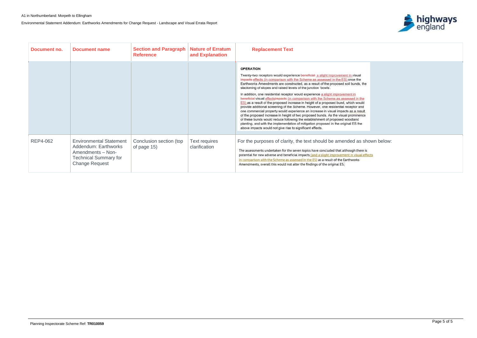Environmental Statement Addendum: Earthworks Amendments for Change Request - Landscape and Visual Errata Report



| il<br>e<br>, the                       |                |  |  |
|----------------------------------------|----------------|--|--|
| the<br>uld<br>nd<br>sult<br>nce<br>le. |                |  |  |
| ere is<br>al effects                   | s shown below: |  |  |

| Document no. | <b>Document name</b>                                                                                                                 | <b>Section and Paragraph</b><br><b>Reference</b> | <b>Nature of Erratum</b><br>and Explanation | <b>Replacement Text</b>                                                                                                                                                                                                                                                                                                                                                                                                                                                                                                                                                                                                                                                                                                                                                                                                                                                                                                                                                                                                                                                                                           |
|--------------|--------------------------------------------------------------------------------------------------------------------------------------|--------------------------------------------------|---------------------------------------------|-------------------------------------------------------------------------------------------------------------------------------------------------------------------------------------------------------------------------------------------------------------------------------------------------------------------------------------------------------------------------------------------------------------------------------------------------------------------------------------------------------------------------------------------------------------------------------------------------------------------------------------------------------------------------------------------------------------------------------------------------------------------------------------------------------------------------------------------------------------------------------------------------------------------------------------------------------------------------------------------------------------------------------------------------------------------------------------------------------------------|
|              |                                                                                                                                      |                                                  |                                             | <b>OPERATION</b><br>Twenty-two receptors would experience beneficial a slight improvement in visual<br>impacts effects (in comparison with the Scheme as assessed in the ES) once the<br>Earthworks Amendments are constructed, as a result of the proposed soil bunds, the<br>slackening of slopes and raised levels of the junction 'bowls'.<br>In addition, one residential receptor would experience a slight improvement in<br>beneficial visual effectsimpacts (in comparison with the Scheme as assessed in the<br>ES) as a result of the proposed increase in height of a proposed bund, which would<br>provide additional screening of the Scheme. However, one residential receptor and<br>one commercial property would experience an increase in visual impacts as a result<br>of the proposed increase in height of two proposed bunds. As the visual prominence<br>of these bunds would reduce following the establishment of proposed woodland<br>planting, and with the implementation of mitigation proposed in the original ES the<br>above impacts would not give rise to significant effects. |
| REP4-062     | <b>Environmental Statement</b><br>Addendum: Earthworks<br>Amendments - Non-<br><b>Technical Summary for</b><br><b>Change Request</b> | Conclusion section (top<br>of page 15)           | Text requires<br>clarification              | For the purposes of clarity, the text should be amended as shown below:<br>The assessments undertaken for the seven topics have concluded that although there is<br>potential for new adverse and beneficial impacts (and a slight improvement in visual effects<br>in comparison with the Scheme as assessed in the ES) as a result of the Earthworks<br>Amendments, overall this would not alter the findings of the original ES.                                                                                                                                                                                                                                                                                                                                                                                                                                                                                                                                                                                                                                                                               |